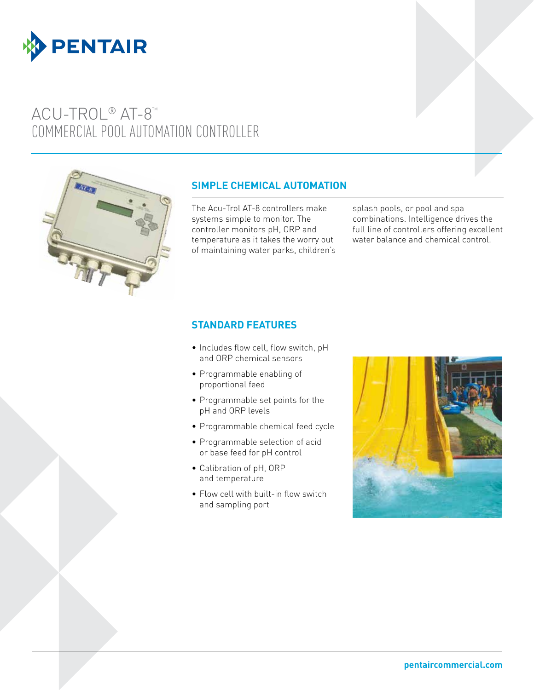

# ACU-TROL® AT-8<sup>™</sup> COMMERCIAL POOL AUTOMATION CONTROLLER



# **SIMPLE CHEMICAL AUTOMATION**

The Acu-Trol AT-8 controllers make systems simple to monitor. The controller monitors pH, ORP and temperature as it takes the worry out of maintaining water parks, children's splash pools, or pool and spa combinations. Intelligence drives the full line of controllers offering excellent water balance and chemical control.

### **STANDARD FEATURES**

- Includes flow cell, flow switch, pH and ORP chemical sensors
- • Programmable enabling of proportional feed
- • Programmable set points for the pH and ORP levels
- • Programmable chemical feed cycle
- • Programmable selection of acid or base feed for pH control
- • Calibration of pH, ORP and temperature
- Flow cell with built-in flow switch and sampling port